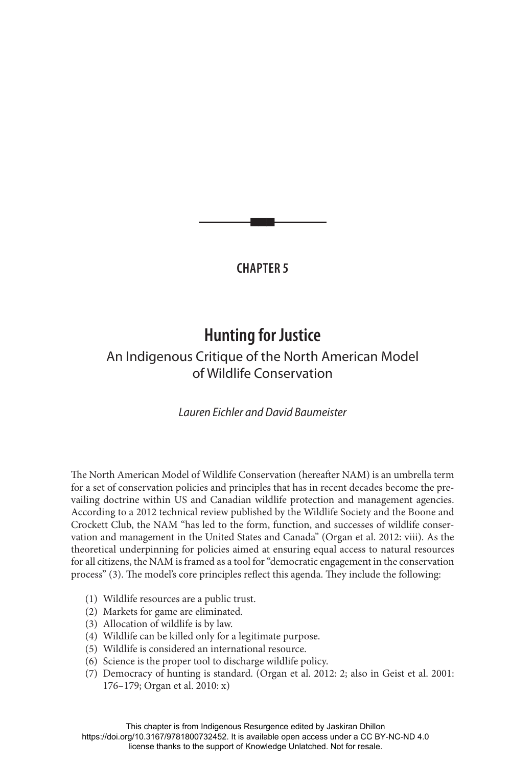

# **CHAPTER 5**

# **Hunting for Justice**

# An Indigenous Critique of the North American Model of Wildlife Conservation

*Lauren Eichler and David Baumeister*

The North American Model of Wildlife Conservation (hereafter NAM) is an umbrella term for a set of conservation policies and principles that has in recent decades become the prevailing doctrine within US and Canadian wildlife protection and management agencies. According to a 2012 technical review published by the Wildlife Society and the Boone and Crockett Club, the NAM "has led to the form, function, and successes of wildlife conservation and management in the United States and Canada" (Organ et al. 2012: viii). As the theoretical underpinning for policies aimed at ensuring equal access to natural resources for all citizens, the NAM is framed as a tool for "democratic engagement in the conservation process" (3). The model's core principles reflect this agenda. They include the following:

- (1) Wildlife resources are a public trust.
- (2) Markets for game are eliminated.
- (3) Allocation of wildlife is by law.
- (4) Wildlife can be killed only for a legitimate purpose.
- (5) Wildlife is considered an international resource.
- (6) Science is the proper tool to discharge wildlife policy.
- (7) Democracy of hunting is standard. (Organ et al. 2012: 2; also in Geist et al. 2001: 176–179; Organ et al. 2010: x)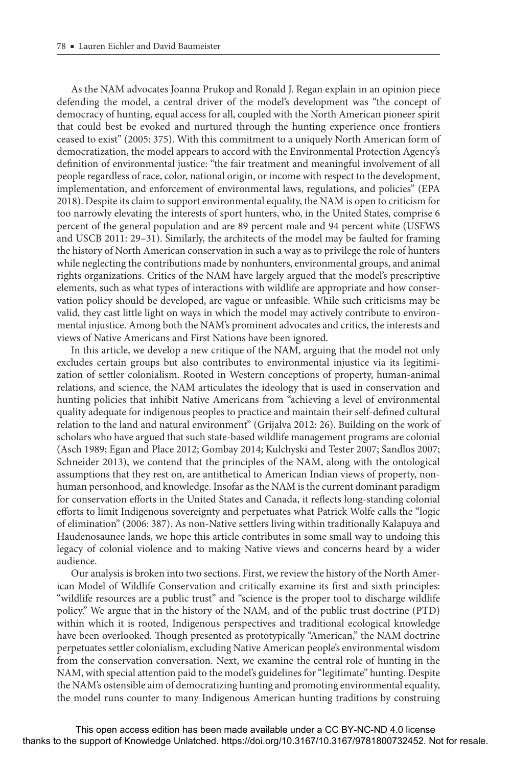As the NAM advocates Joanna Prukop and Ronald J. Regan explain in an opinion piece defending the model, a central driver of the model's development was "the concept of democracy of hunting, equal access for all, coupled with the North American pioneer spirit that could best be evoked and nurtured through the hunting experience once frontiers ceased to exist" (2005: 375). With this commitment to a uniquely North American form of democratization, the model appears to accord with the Environmental Protection Agency's definition of environmental justice: "the fair treatment and meaningful involvement of all people regardless of race, color, national origin, or income with respect to the development, implementation, and enforcement of environmental laws, regulations, and policies" (EPA 2018). Despite its claim to support environmental equality, the NAM is open to criticism for too narrowly elevating the interests of sport hunters, who, in the United States, comprise 6 percent of the general population and are 89 percent male and 94 percent white (USFWS and USCB 2011: 29–31). Similarly, the architects of the model may be faulted for framing the history of North American conservation in such a way as to privilege the role of hunters while neglecting the contributions made by nonhunters, environmental groups, and animal rights organizations. Critics of the NAM have largely argued that the model's prescriptive elements, such as what types of interactions with wildlife are appropriate and how conservation policy should be developed, are vague or unfeasible. While such criticisms may be valid, they cast little light on ways in which the model may actively contribute to environmental injustice. Among both the NAM's prominent advocates and critics, the interests and views of Native Americans and First Nations have been ignored.

In this article, we develop a new critique of the NAM, arguing that the model not only excludes certain groups but also contributes to environmental injustice via its legitimization of settler colonialism. Rooted in Western conceptions of property, human-animal relations, and science, the NAM articulates the ideology that is used in conservation and hunting policies that inhibit Native Americans from "achieving a level of environmental quality adequate for indigenous peoples to practice and maintain their self-defined cultural relation to the land and natural environment" (Grijalva 2012: 26). Building on the work of scholars who have argued that such state-based wildlife management programs are colonial (Asch 1989; Egan and Place 2012; Gombay 2014; Kulchyski and Tester 2007; Sandlos 2007; Schneider 2013), we contend that the principles of the NAM, along with the ontological assumptions that they rest on, are antithetical to American Indian views of property, nonhuman personhood, and knowledge. Insofar as the NAM is the current dominant paradigm for conservation efforts in the United States and Canada, it reflects long-standing colonial efforts to limit Indigenous sovereignty and perpetuates what Patrick Wolfe calls the "logic of elimination" (2006: 387). As non-Native settlers living within traditionally Kalapuya and Haudenosaunee lands, we hope this article contributes in some small way to undoing this legacy of colonial violence and to making Native views and concerns heard by a wider audience.

Our analysis is broken into two sections. First, we review the history of the North American Model of Wildlife Conservation and critically examine its first and sixth principles: "wildlife resources are a public trust" and "science is the proper tool to discharge wildlife policy." We argue that in the history of the NAM, and of the public trust doctrine (PTD) within which it is rooted, Indigenous perspectives and traditional ecological knowledge have been overlooked. Though presented as prototypically "American," the NAM doctrine perpetuates settler colonialism, excluding Native American people's environmental wisdom from the conservation conversation. Next, we examine the central role of hunting in the NAM, with special attention paid to the model's guidelines for "legitimate" hunting. Despite the NAM's ostensible aim of democratizing hunting and promoting environmental equality, the model runs counter to many Indigenous American hunting traditions by construing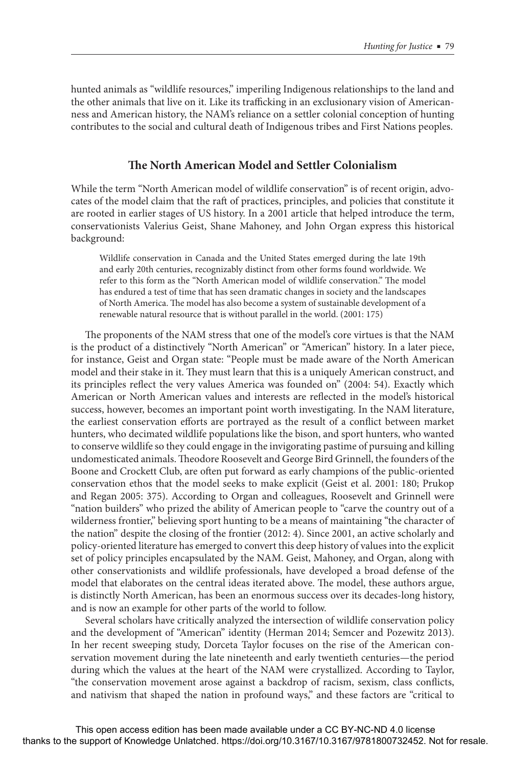hunted animals as "wildlife resources," imperiling Indigenous relationships to the land and the other animals that live on it. Like its trafficking in an exclusionary vision of Americanness and American history, the NAM's reliance on a settler colonial conception of hunting contributes to the social and cultural death of Indigenous tribes and First Nations peoples.

## **The North American Model and Settler Colonialism**

While the term "North American model of wildlife conservation" is of recent origin, advocates of the model claim that the raft of practices, principles, and policies that constitute it are rooted in earlier stages of US history. In a 2001 article that helped introduce the term, conservationists Valerius Geist, Shane Mahoney, and John Organ express this historical background:

Wildlife conservation in Canada and the United States emerged during the late 19th and early 20th centuries, recognizably distinct from other forms found worldwide. We refer to this form as the "North American model of wildlife conservation." The model has endured a test of time that has seen dramatic changes in society and the landscapes of North America. The model has also become a system of sustainable development of a renewable natural resource that is without parallel in the world. (2001: 175)

The proponents of the NAM stress that one of the model's core virtues is that the NAM is the product of a distinctively "North American" or "American" history. In a later piece, for instance, Geist and Organ state: "People must be made aware of the North American model and their stake in it. They must learn that this is a uniquely American construct, and its principles reflect the very values America was founded on" (2004: 54). Exactly which American or North American values and interests are reflected in the model's historical success, however, becomes an important point worth investigating. In the NAM literature, the earliest conservation efforts are portrayed as the result of a conflict between market hunters, who decimated wildlife populations like the bison, and sport hunters, who wanted to conserve wildlife so they could engage in the invigorating pastime of pursuing and killing undomesticated animals. Theodore Roosevelt and George Bird Grinnell, the founders of the Boone and Crockett Club, are often put forward as early champions of the public-oriented conservation ethos that the model seeks to make explicit (Geist et al. 2001: 180; Prukop and Regan 2005: 375). According to Organ and colleagues, Roosevelt and Grinnell were "nation builders" who prized the ability of American people to "carve the country out of a wilderness frontier," believing sport hunting to be a means of maintaining "the character of the nation" despite the closing of the frontier (2012: 4). Since 2001, an active scholarly and policy-oriented literature has emerged to convert this deep history of values into the explicit set of policy principles encapsulated by the NAM. Geist, Mahoney, and Organ, along with other conservationists and wildlife professionals, have developed a broad defense of the model that elaborates on the central ideas iterated above. The model, these authors argue, is distinctly North American, has been an enormous success over its decades-long history, and is now an example for other parts of the world to follow.

Several scholars have critically analyzed the intersection of wildlife conservation policy and the development of "American" identity (Herman 2014; Semcer and Pozewitz 2013). In her recent sweeping study, Dorceta Taylor focuses on the rise of the American conservation movement during the late nineteenth and early twentieth centuries—the period during which the values at the heart of the NAM were crystallized. According to Taylor, "the conservation movement arose against a backdrop of racism, sexism, class conflicts, and nativism that shaped the nation in profound ways," and these factors are "critical to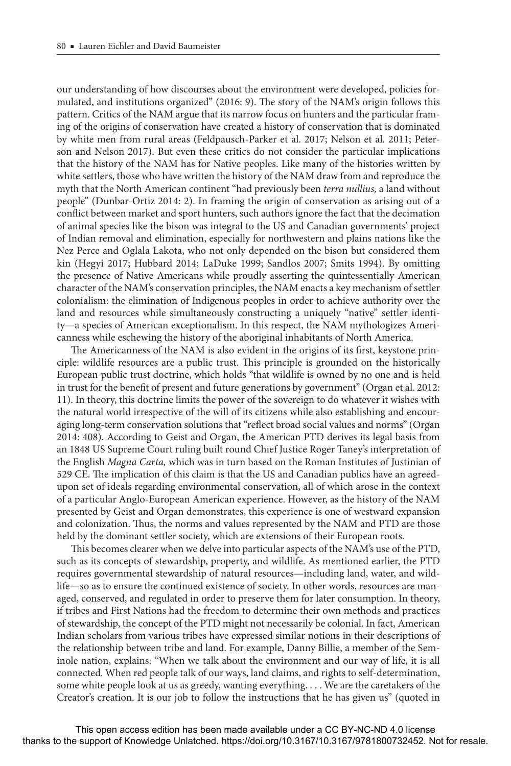our understanding of how discourses about the environment were developed, policies formulated, and institutions organized" (2016: 9). The story of the NAM's origin follows this pattern. Critics of the NAM argue that its narrow focus on hunters and the particular framing of the origins of conservation have created a history of conservation that is dominated by white men from rural areas (Feldpausch-Parker et al. 2017; Nelson et al. 2011; Peterson and Nelson 2017). But even these critics do not consider the particular implications that the history of the NAM has for Native peoples. Like many of the histories written by white settlers, those who have written the history of the NAM draw from and reproduce the myth that the North American continent "had previously been *terra nullius,* a land without people" (Dunbar-Ortiz 2014: 2). In framing the origin of conservation as arising out of a conflict between market and sport hunters, such authors ignore the fact that the decimation of animal species like the bison was integral to the US and Canadian governments' project of Indian removal and elimination, especially for northwestern and plains nations like the Nez Perce and Oglala Lakota, who not only depended on the bison but considered them kin (Hegyi 2017; Hubbard 2014; LaDuke 1999; Sandlos 2007; Smits 1994). By omitting the presence of Native Americans while proudly asserting the quintessentially American character of the NAM's conservation principles, the NAM enacts a key mechanism of settler colonialism: the elimination of Indigenous peoples in order to achieve authority over the land and resources while simultaneously constructing a uniquely "native" settler identity—a species of American exceptionalism. In this respect, the NAM mythologizes Americanness while eschewing the history of the aboriginal inhabitants of North America.

The Americanness of the NAM is also evident in the origins of its first, keystone principle: wildlife resources are a public trust. This principle is grounded on the historically European public trust doctrine, which holds "that wildlife is owned by no one and is held in trust for the benefit of present and future generations by government" (Organ et al. 2012: 11). In theory, this doctrine limits the power of the sovereign to do whatever it wishes with the natural world irrespective of the will of its citizens while also establishing and encouraging long-term conservation solutions that "reflect broad social values and norms" (Organ 2014: 408). According to Geist and Organ, the American PTD derives its legal basis from an 1848 US Supreme Court ruling built round Chief Justice Roger Taney's interpretation of the English *Magna Carta,* which was in turn based on the Roman Institutes of Justinian of 529 CE. The implication of this claim is that the US and Canadian publics have an agreedupon set of ideals regarding environmental conservation, all of which arose in the context of a particular Anglo-European American experience. However, as the history of the NAM presented by Geist and Organ demonstrates, this experience is one of westward expansion and colonization. Thus, the norms and values represented by the NAM and PTD are those held by the dominant settler society, which are extensions of their European roots.

This becomes clearer when we delve into particular aspects of the NAM's use of the PTD, such as its concepts of stewardship, property, and wildlife. As mentioned earlier, the PTD requires governmental stewardship of natural resources—including land, water, and wildlife—so as to ensure the continued existence of society. In other words, resources are managed, conserved, and regulated in order to preserve them for later consumption. In theory, if tribes and First Nations had the freedom to determine their own methods and practices of stewardship, the concept of the PTD might not necessarily be colonial. In fact, American Indian scholars from various tribes have expressed similar notions in their descriptions of the relationship between tribe and land. For example, Danny Billie, a member of the Seminole nation, explains: "When we talk about the environment and our way of life, it is all connected. When red people talk of our ways, land claims, and rights to self-determination, some white people look at us as greedy, wanting everything. . . . We are the caretakers of the Creator's creation. It is our job to follow the instructions that he has given us" (quoted in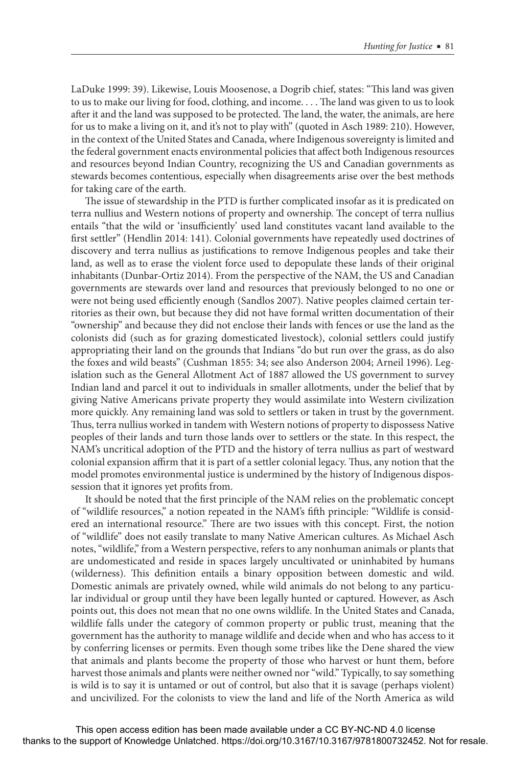LaDuke 1999: 39). Likewise, Louis Moosenose, a Dogrib chief, states: "This land was given to us to make our living for food, clothing, and income. . . . The land was given to us to look after it and the land was supposed to be protected. The land, the water, the animals, are here for us to make a living on it, and it's not to play with" (quoted in Asch 1989: 210). However, in the context of the United States and Canada, where Indigenous sovereignty is limited and the federal government enacts environmental policies that affect both Indigenous resources and resources beyond Indian Country, recognizing the US and Canadian governments as stewards becomes contentious, especially when disagreements arise over the best methods for taking care of the earth.

The issue of stewardship in the PTD is further complicated insofar as it is predicated on terra nullius and Western notions of property and ownership. The concept of terra nullius entails "that the wild or 'insufficiently' used land constitutes vacant land available to the first settler" (Hendlin 2014: 141). Colonial governments have repeatedly used doctrines of discovery and terra nullius as justifications to remove Indigenous peoples and take their land, as well as to erase the violent force used to depopulate these lands of their original inhabitants (Dunbar-Ortiz 2014). From the perspective of the NAM, the US and Canadian governments are stewards over land and resources that previously belonged to no one or were not being used efficiently enough (Sandlos 2007). Native peoples claimed certain territories as their own, but because they did not have formal written documentation of their "ownership" and because they did not enclose their lands with fences or use the land as the colonists did (such as for grazing domesticated livestock), colonial settlers could justify appropriating their land on the grounds that Indians "do but run over the grass, as do also the foxes and wild beasts" (Cushman 1855: 34; see also Anderson 2004; Arneil 1996). Legislation such as the General Allotment Act of 1887 allowed the US government to survey Indian land and parcel it out to individuals in smaller allotments, under the belief that by giving Native Americans private property they would assimilate into Western civilization more quickly. Any remaining land was sold to settlers or taken in trust by the government. Thus, terra nullius worked in tandem with Western notions of property to dispossess Native peoples of their lands and turn those lands over to settlers or the state. In this respect, the NAM's uncritical adoption of the PTD and the history of terra nullius as part of westward colonial expansion affirm that it is part of a settler colonial legacy. Thus, any notion that the model promotes environmental justice is undermined by the history of Indigenous dispossession that it ignores yet profits from.

It should be noted that the first principle of the NAM relies on the problematic concept of "wildlife resources," a notion repeated in the NAM's fifth principle: "Wildlife is considered an international resource." There are two issues with this concept. First, the notion of "wildlife" does not easily translate to many Native American cultures. As Michael Asch notes, "wildlife," from a Western perspective, refers to any nonhuman animals or plants that are undomesticated and reside in spaces largely uncultivated or uninhabited by humans (wilderness). This definition entails a binary opposition between domestic and wild. Domestic animals are privately owned, while wild animals do not belong to any particular individual or group until they have been legally hunted or captured. However, as Asch points out, this does not mean that no one owns wildlife. In the United States and Canada, wildlife falls under the category of common property or public trust, meaning that the government has the authority to manage wildlife and decide when and who has access to it by conferring licenses or permits. Even though some tribes like the Dene shared the view that animals and plants become the property of those who harvest or hunt them, before harvest those animals and plants were neither owned nor "wild." Typically, to say something is wild is to say it is untamed or out of control, but also that it is savage (perhaps violent) and uncivilized. For the colonists to view the land and life of the North America as wild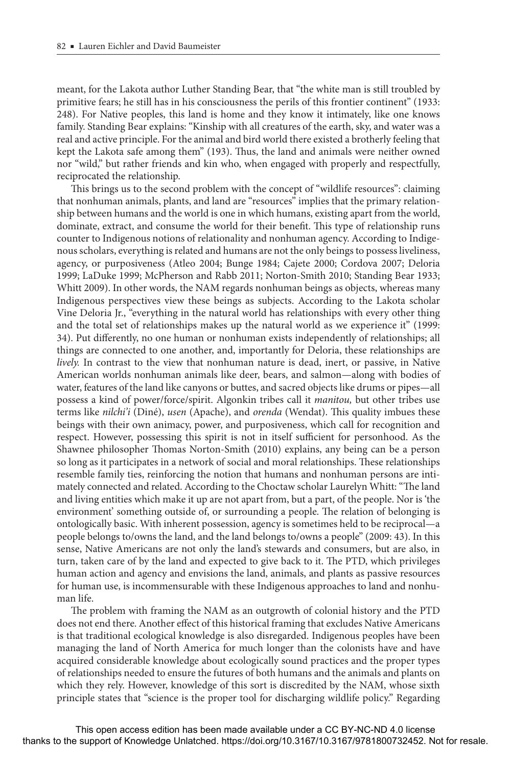meant, for the Lakota author Luther Standing Bear, that "the white man is still troubled by primitive fears; he still has in his consciousness the perils of this frontier continent" (1933: 248). For Native peoples, this land is home and they know it intimately, like one knows family. Standing Bear explains: "Kinship with all creatures of the earth, sky, and water was a real and active principle. For the animal and bird world there existed a brotherly feeling that kept the Lakota safe among them" (193). Thus, the land and animals were neither owned nor "wild," but rather friends and kin who, when engaged with properly and respectfully, reciprocated the relationship.

This brings us to the second problem with the concept of "wildlife resources": claiming that nonhuman animals, plants, and land are "resources" implies that the primary relationship between humans and the world is one in which humans, existing apart from the world, dominate, extract, and consume the world for their benefit. This type of relationship runs counter to Indigenous notions of relationality and nonhuman agency. According to Indigenous scholars, everything is related and humans are not the only beings to possess liveliness, agency, or purposiveness (Atleo 2004; Bunge 1984; Cajete 2000; Cordova 2007; Deloria 1999; LaDuke 1999; McPherson and Rabb 2011; Norton-Smith 2010; Standing Bear 1933; Whitt 2009). In other words, the NAM regards nonhuman beings as objects, whereas many Indigenous perspectives view these beings as subjects. According to the Lakota scholar Vine Deloria Jr., "everything in the natural world has relationships with every other thing and the total set of relationships makes up the natural world as we experience it" (1999: 34). Put differently, no one human or nonhuman exists independently of relationships; all things are connected to one another, and, importantly for Deloria, these relationships are *lively*. In contrast to the view that nonhuman nature is dead, inert, or passive, in Native American worlds nonhuman animals like deer, bears, and salmon—along with bodies of water, features of the land like canyons or buttes, and sacred objects like drums or pipes—all possess a kind of power/force/spirit. Algonkin tribes call it *manitou,* but other tribes use terms like *nilchi'i* (Diné), *usen* (Apache), and *orenda* (Wendat). This quality imbues these beings with their own animacy, power, and purposiveness, which call for recognition and respect. However, possessing this spirit is not in itself sufficient for personhood. As the Shawnee philosopher Thomas Norton-Smith (2010) explains, any being can be a person so long as it participates in a network of social and moral relationships. These relationships resemble family ties, reinforcing the notion that humans and nonhuman persons are intimately connected and related. According to the Choctaw scholar Laurelyn Whitt: "The land and living entities which make it up are not apart from, but a part, of the people. Nor is 'the environment' something outside of, or surrounding a people. The relation of belonging is ontologically basic. With inherent possession, agency is sometimes held to be reciprocal—a people belongs to/owns the land, and the land belongs to/owns a people" (2009: 43). In this sense, Native Americans are not only the land's stewards and consumers, but are also, in turn, taken care of by the land and expected to give back to it. The PTD, which privileges human action and agency and envisions the land, animals, and plants as passive resources for human use, is incommensurable with these Indigenous approaches to land and nonhuman life.

The problem with framing the NAM as an outgrowth of colonial history and the PTD does not end there. Another effect of this historical framing that excludes Native Americans is that traditional ecological knowledge is also disregarded. Indigenous peoples have been managing the land of North America for much longer than the colonists have and have acquired considerable knowledge about ecologically sound practices and the proper types of relationships needed to ensure the futures of both humans and the animals and plants on which they rely. However, knowledge of this sort is discredited by the NAM, whose sixth principle states that "science is the proper tool for discharging wildlife policy." Regarding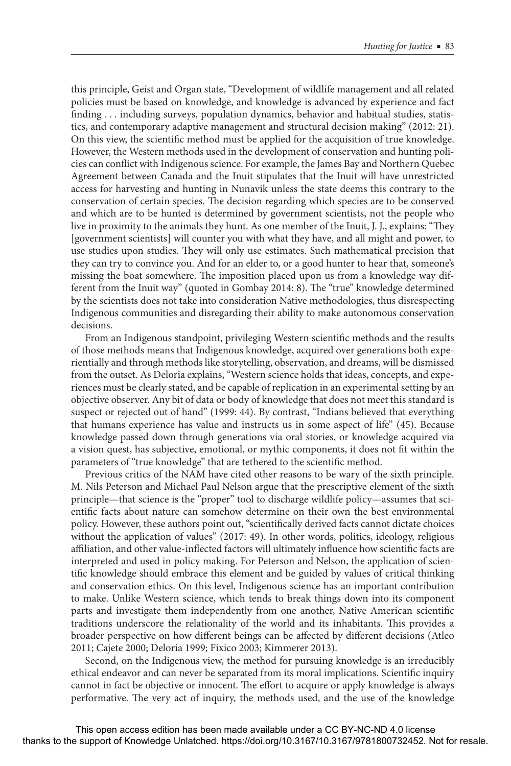this principle, Geist and Organ state, "Development of wildlife management and all related policies must be based on knowledge, and knowledge is advanced by experience and fact finding . . . including surveys, population dynamics, behavior and habitual studies, statistics, and contemporary adaptive management and structural decision making" (2012: 21). On this view, the scientific method must be applied for the acquisition of true knowledge. However, the Western methods used in the development of conservation and hunting policies can conflict with Indigenous science. For example, the James Bay and Northern Quebec Agreement between Canada and the Inuit stipulates that the Inuit will have unrestricted access for harvesting and hunting in Nunavik unless the state deems this contrary to the conservation of certain species. The decision regarding which species are to be conserved and which are to be hunted is determined by government scientists, not the people who live in proximity to the animals they hunt. As one member of the Inuit, J. J., explains: "They [government scientists] will counter you with what they have, and all might and power, to use studies upon studies. They will only use estimates. Such mathematical precision that they can try to convince you. And for an elder to, or a good hunter to hear that, someone's missing the boat somewhere. The imposition placed upon us from a knowledge way different from the Inuit way" (quoted in Gombay 2014: 8). The "true" knowledge determined by the scientists does not take into consideration Native methodologies, thus disrespecting Indigenous communities and disregarding their ability to make autonomous conservation decisions.

From an Indigenous standpoint, privileging Western scientific methods and the results of those methods means that Indigenous knowledge, acquired over generations both experientially and through methods like storytelling, observation, and dreams, will be dismissed from the outset. As Deloria explains, "Western science holds that ideas, concepts, and experiences must be clearly stated, and be capable of replication in an experimental setting by an objective observer. Any bit of data or body of knowledge that does not meet this standard is suspect or rejected out of hand" (1999: 44). By contrast, "Indians believed that everything that humans experience has value and instructs us in some aspect of life" (45). Because knowledge passed down through generations via oral stories, or knowledge acquired via a vision quest, has subjective, emotional, or mythic components, it does not fit within the parameters of "true knowledge" that are tethered to the scientific method.

Previous critics of the NAM have cited other reasons to be wary of the sixth principle. M. Nils Peterson and Michael Paul Nelson argue that the prescriptive element of the sixth principle—that science is the "proper" tool to discharge wildlife policy—assumes that scientific facts about nature can somehow determine on their own the best environmental policy. However, these authors point out, "scientifically derived facts cannot dictate choices without the application of values" (2017: 49). In other words, politics, ideology, religious affiliation, and other value-inflected factors will ultimately influence how scientific facts are interpreted and used in policy making. For Peterson and Nelson, the application of scientific knowledge should embrace this element and be guided by values of critical thinking and conservation ethics. On this level, Indigenous science has an important contribution to make. Unlike Western science, which tends to break things down into its component parts and investigate them independently from one another, Native American scientific traditions underscore the relationality of the world and its inhabitants. This provides a broader perspective on how different beings can be affected by different decisions (Atleo 2011; Cajete 2000; Deloria 1999; Fixico 2003; Kimmerer 2013).

Second, on the Indigenous view, the method for pursuing knowledge is an irreducibly ethical endeavor and can never be separated from its moral implications. Scientific inquiry cannot in fact be objective or innocent. The effort to acquire or apply knowledge is always performative. The very act of inquiry, the methods used, and the use of the knowledge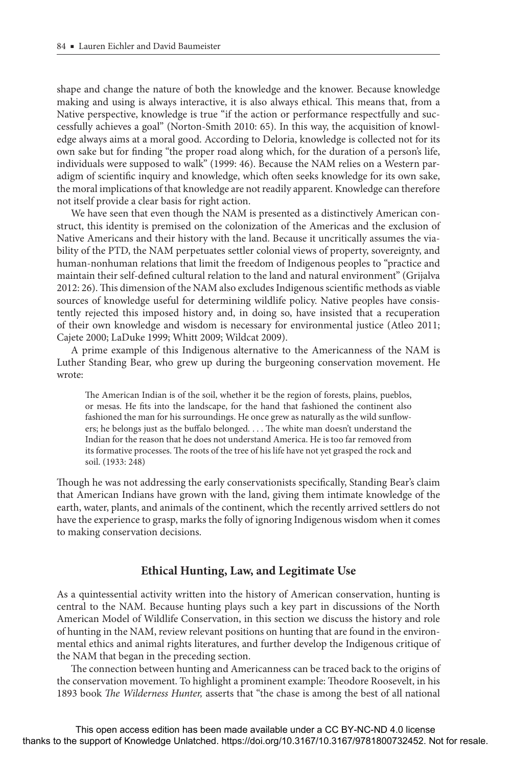shape and change the nature of both the knowledge and the knower. Because knowledge making and using is always interactive, it is also always ethical. This means that, from a Native perspective, knowledge is true "if the action or performance respectfully and successfully achieves a goal" (Norton-Smith 2010: 65). In this way, the acquisition of knowledge always aims at a moral good. According to Deloria, knowledge is collected not for its own sake but for finding "the proper road along which, for the duration of a person's life, individuals were supposed to walk" (1999: 46). Because the NAM relies on a Western paradigm of scientific inquiry and knowledge, which often seeks knowledge for its own sake, the moral implications of that knowledge are not readily apparent. Knowledge can therefore not itself provide a clear basis for right action.

We have seen that even though the NAM is presented as a distinctively American construct, this identity is premised on the colonization of the Americas and the exclusion of Native Americans and their history with the land. Because it uncritically assumes the viability of the PTD, the NAM perpetuates settler colonial views of property, sovereignty, and human-nonhuman relations that limit the freedom of Indigenous peoples to "practice and maintain their self-defined cultural relation to the land and natural environment" (Grijalva 2012: 26). This dimension of the NAM also excludes Indigenous scientific methods as viable sources of knowledge useful for determining wildlife policy. Native peoples have consistently rejected this imposed history and, in doing so, have insisted that a recuperation of their own knowledge and wisdom is necessary for environmental justice (Atleo 2011; Cajete 2000; LaDuke 1999; Whitt 2009; Wildcat 2009).

A prime example of this Indigenous alternative to the Americanness of the NAM is Luther Standing Bear, who grew up during the burgeoning conservation movement. He wrote:

The American Indian is of the soil, whether it be the region of forests, plains, pueblos, or mesas. He fits into the landscape, for the hand that fashioned the continent also fashioned the man for his surroundings. He once grew as naturally as the wild sunflowers; he belongs just as the buffalo belonged. . . . The white man doesn't understand the Indian for the reason that he does not understand America. He is too far removed from its formative processes. The roots of the tree of his life have not yet grasped the rock and soil. (1933: 248)

Though he was not addressing the early conservationists specifically, Standing Bear's claim that American Indians have grown with the land, giving them intimate knowledge of the earth, water, plants, and animals of the continent, which the recently arrived settlers do not have the experience to grasp, marks the folly of ignoring Indigenous wisdom when it comes to making conservation decisions.

#### **Ethical Hunting, Law, and Legitimate Use**

As a quintessential activity written into the history of American conservation, hunting is central to the NAM. Because hunting plays such a key part in discussions of the North American Model of Wildlife Conservation, in this section we discuss the history and role of hunting in the NAM, review relevant positions on hunting that are found in the environmental ethics and animal rights literatures, and further develop the Indigenous critique of the NAM that began in the preceding section.

The connection between hunting and Americanness can be traced back to the origins of the conservation movement. To highlight a prominent example: Theodore Roosevelt, in his 1893 book *The Wilderness Hunter,* asserts that "the chase is among the best of all national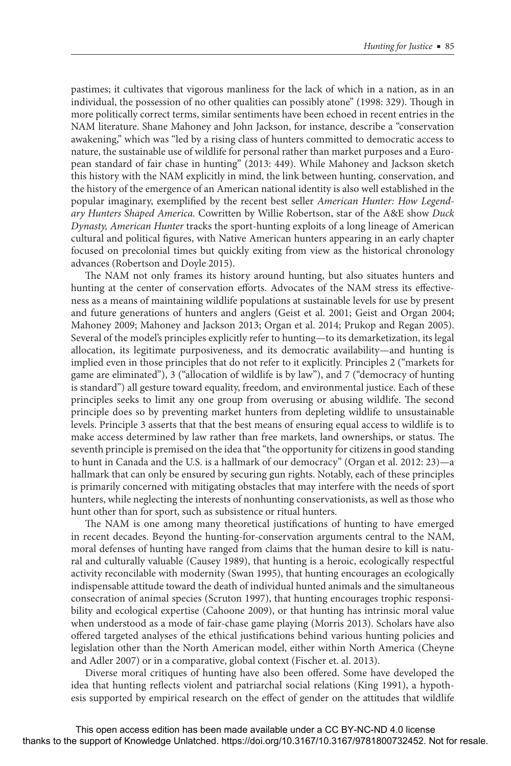pastimes; it cultivates that vigorous manliness for the lack of which in a nation, as in an individual, the possession of no other qualities can possibly atone" (1998: 329). Though in more politically correct terms, similar sentiments have been echoed in recent entries in the NAM literature. Shane Mahoney and John Jackson, for instance, describe a "conservation awakening," which was "led by a rising class of hunters committed to democratic access to nature, the sustainable use of wildlife for personal rather than market purposes and a European standard of fair chase in hunting" (2013: 449). While Mahoney and Jackson sketch this history with the NAM explicitly in mind, the link between hunting, conservation, and the history of the emergence of an American national identity is also well established in the popular imaginary, exemplified by the recent best seller *American Hunter: How Legendary Hunters Shaped America.* Cowritten by Willie Robertson, star of the A&E show *Duck Dynasty, American Hunter* tracks the sport-hunting exploits of a long lineage of American cultural and political figures, with Native American hunters appearing in an early chapter focused on precolonial times but quickly exiting from view as the historical chronology advances (Robertson and Doyle 2015).

The NAM not only frames its history around hunting, but also situates hunters and hunting at the center of conservation efforts. Advocates of the NAM stress its effectiveness as a means of maintaining wildlife populations at sustainable levels for use by present and future generations of hunters and anglers (Geist et al. 2001; Geist and Organ 2004; Mahoney 2009; Mahoney and Jackson 2013; Organ et al. 2014; Prukop and Regan 2005). Several of the model's principles explicitly refer to hunting—to its demarketization, its legal allocation, its legitimate purposiveness, and its democratic availability—and hunting is implied even in those principles that do not refer to it explicitly. Principles 2 ("markets for game are eliminated"), 3 ("allocation of wildlife is by law"), and 7 ("democracy of hunting is standard") all gesture toward equality, freedom, and environmental justice. Each of these principles seeks to limit any one group from overusing or abusing wildlife. The second principle does so by preventing market hunters from depleting wildlife to unsustainable levels. Principle 3 asserts that that the best means of ensuring equal access to wildlife is to make access determined by law rather than free markets, land ownerships, or status. The seventh principle is premised on the idea that "the opportunity for citizens in good standing to hunt in Canada and the U.S. is a hallmark of our democracy" (Organ et al. 2012: 23)—a hallmark that can only be ensured by securing gun rights. Notably, each of these principles is primarily concerned with mitigating obstacles that may interfere with the needs of sport hunters, while neglecting the interests of nonhunting conservationists, as well as those who hunt other than for sport, such as subsistence or ritual hunters.

The NAM is one among many theoretical justifications of hunting to have emerged in recent decades. Beyond the hunting-for-conservation arguments central to the NAM, moral defenses of hunting have ranged from claims that the human desire to kill is natural and culturally valuable (Causey 1989), that hunting is a heroic, ecologically respectful activity reconcilable with modernity (Swan 1995), that hunting encourages an ecologically indispensable attitude toward the death of individual hunted animals and the simultaneous consecration of animal species (Scruton 1997), that hunting encourages trophic responsibility and ecological expertise (Cahoone 2009), or that hunting has intrinsic moral value when understood as a mode of fair-chase game playing (Morris 2013). Scholars have also offered targeted analyses of the ethical justifications behind various hunting policies and legislation other than the North American model, either within North America (Cheyne and Adler 2007) or in a comparative, global context (Fischer et. al. 2013).

Diverse moral critiques of hunting have also been offered. Some have developed the idea that hunting reflects violent and patriarchal social relations (King 1991), a hypothesis supported by empirical research on the effect of gender on the attitudes that wildlife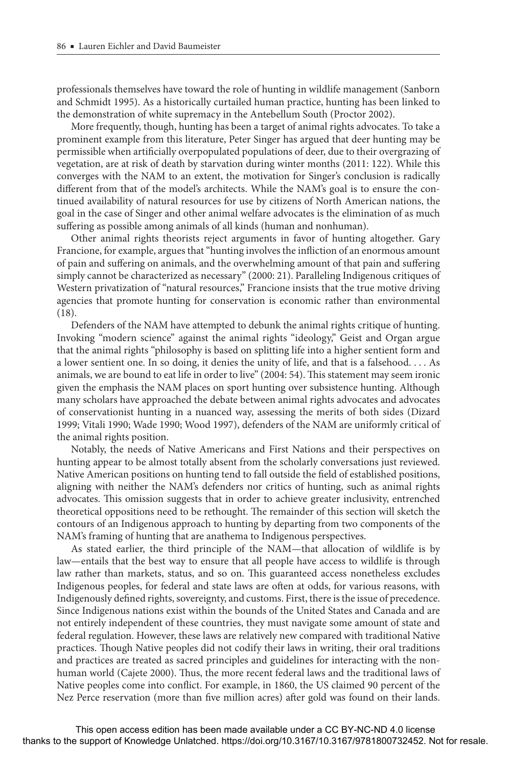professionals themselves have toward the role of hunting in wildlife management (Sanborn and Schmidt 1995). As a historically curtailed human practice, hunting has been linked to the demonstration of white supremacy in the Antebellum South (Proctor 2002).

More frequently, though, hunting has been a target of animal rights advocates. To take a prominent example from this literature, Peter Singer has argued that deer hunting may be permissible when artificially overpopulated populations of deer, due to their overgrazing of vegetation, are at risk of death by starvation during winter months (2011: 122). While this converges with the NAM to an extent, the motivation for Singer's conclusion is radically different from that of the model's architects. While the NAM's goal is to ensure the continued availability of natural resources for use by citizens of North American nations, the goal in the case of Singer and other animal welfare advocates is the elimination of as much suffering as possible among animals of all kinds (human and nonhuman).

Other animal rights theorists reject arguments in favor of hunting altogether. Gary Francione, for example, argues that "hunting involves the infliction of an enormous amount of pain and suffering on animals, and the overwhelming amount of that pain and suffering simply cannot be characterized as necessary" (2000: 21). Paralleling Indigenous critiques of Western privatization of "natural resources," Francione insists that the true motive driving agencies that promote hunting for conservation is economic rather than environmental (18).

Defenders of the NAM have attempted to debunk the animal rights critique of hunting. Invoking "modern science" against the animal rights "ideology," Geist and Organ argue that the animal rights "philosophy is based on splitting life into a higher sentient form and a lower sentient one. In so doing, it denies the unity of life, and that is a falsehood. . . . As animals, we are bound to eat life in order to live" (2004: 54). This statement may seem ironic given the emphasis the NAM places on sport hunting over subsistence hunting. Although many scholars have approached the debate between animal rights advocates and advocates of conservationist hunting in a nuanced way, assessing the merits of both sides (Dizard 1999; Vitali 1990; Wade 1990; Wood 1997), defenders of the NAM are uniformly critical of the animal rights position.

Notably, the needs of Native Americans and First Nations and their perspectives on hunting appear to be almost totally absent from the scholarly conversations just reviewed. Native American positions on hunting tend to fall outside the field of established positions, aligning with neither the NAM's defenders nor critics of hunting, such as animal rights advocates. This omission suggests that in order to achieve greater inclusivity, entrenched theoretical oppositions need to be rethought. The remainder of this section will sketch the contours of an Indigenous approach to hunting by departing from two components of the NAM's framing of hunting that are anathema to Indigenous perspectives.

As stated earlier, the third principle of the NAM—that allocation of wildlife is by law—entails that the best way to ensure that all people have access to wildlife is through law rather than markets, status, and so on. This guaranteed access nonetheless excludes Indigenous peoples, for federal and state laws are often at odds, for various reasons, with Indigenously defined rights, sovereignty, and customs. First, there is the issue of precedence. Since Indigenous nations exist within the bounds of the United States and Canada and are not entirely independent of these countries, they must navigate some amount of state and federal regulation. However, these laws are relatively new compared with traditional Native practices. Though Native peoples did not codify their laws in writing, their oral traditions and practices are treated as sacred principles and guidelines for interacting with the nonhuman world (Cajete 2000). Thus, the more recent federal laws and the traditional laws of Native peoples come into conflict. For example, in 1860, the US claimed 90 percent of the Nez Perce reservation (more than five million acres) after gold was found on their lands.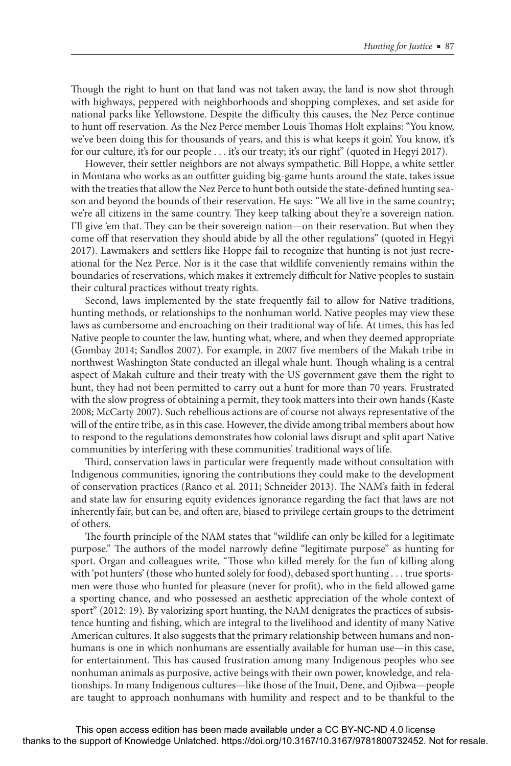Though the right to hunt on that land was not taken away, the land is now shot through with highways, peppered with neighborhoods and shopping complexes, and set aside for national parks like Yellowstone. Despite the difficulty this causes, the Nez Perce continue to hunt off reservation. As the Nez Perce member Louis Thomas Holt explains: "You know, we've been doing this for thousands of years, and this is what keeps it goin'. You know, it's for our culture, it's for our people . . . it's our treaty; it's our right" (quoted in Hegyi 2017).

However, their settler neighbors are not always sympathetic. Bill Hoppe, a white settler in Montana who works as an outfitter guiding big-game hunts around the state, takes issue with the treaties that allow the Nez Perce to hunt both outside the state-defined hunting season and beyond the bounds of their reservation. He says: "We all live in the same country; we're all citizens in the same country. They keep talking about they're a sovereign nation. I'll give 'em that. They can be their sovereign nation—on their reservation. But when they come off that reservation they should abide by all the other regulations" (quoted in Hegyi 2017). Lawmakers and settlers like Hoppe fail to recognize that hunting is not just recreational for the Nez Perce. Nor is it the case that wildlife conveniently remains within the boundaries of reservations, which makes it extremely difficult for Native peoples to sustain their cultural practices without treaty rights.

Second, laws implemented by the state frequently fail to allow for Native traditions, hunting methods, or relationships to the nonhuman world. Native peoples may view these laws as cumbersome and encroaching on their traditional way of life. At times, this has led Native people to counter the law, hunting what, where, and when they deemed appropriate (Gombay 2014; Sandlos 2007). For example, in 2007 five members of the Makah tribe in northwest Washington State conducted an illegal whale hunt. Though whaling is a central aspect of Makah culture and their treaty with the US government gave them the right to hunt, they had not been permitted to carry out a hunt for more than 70 years. Frustrated with the slow progress of obtaining a permit, they took matters into their own hands (Kaste 2008; McCarty 2007). Such rebellious actions are of course not always representative of the will of the entire tribe, as in this case. However, the divide among tribal members about how to respond to the regulations demonstrates how colonial laws disrupt and split apart Native communities by interfering with these communities' traditional ways of life.

Third, conservation laws in particular were frequently made without consultation with Indigenous communities, ignoring the contributions they could make to the development of conservation practices (Ranco et al. 2011; Schneider 2013). The NAM's faith in federal and state law for ensuring equity evidences ignorance regarding the fact that laws are not inherently fair, but can be, and often are, biased to privilege certain groups to the detriment of others.

The fourth principle of the NAM states that "wildlife can only be killed for a legitimate purpose." The authors of the model narrowly define "legitimate purpose" as hunting for sport. Organ and colleagues write, "Those who killed merely for the fun of killing along with 'pot hunters' (those who hunted solely for food), debased sport hunting . . . true sportsmen were those who hunted for pleasure (never for profit), who in the field allowed game a sporting chance, and who possessed an aesthetic appreciation of the whole context of sport" (2012: 19). By valorizing sport hunting, the NAM denigrates the practices of subsistence hunting and fishing, which are integral to the livelihood and identity of many Native American cultures. It also suggests that the primary relationship between humans and nonhumans is one in which nonhumans are essentially available for human use—in this case, for entertainment. This has caused frustration among many Indigenous peoples who see nonhuman animals as purposive, active beings with their own power, knowledge, and relationships. In many Indigenous cultures—like those of the Inuit, Dene, and Ojibwa—people are taught to approach nonhumans with humility and respect and to be thankful to the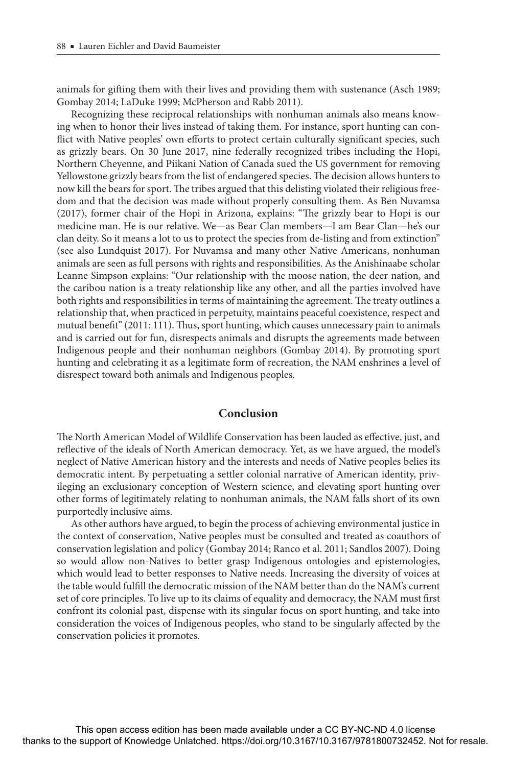animals for gifting them with their lives and providing them with sustenance (Asch 1989; Gombay 2014; LaDuke 1999; McPherson and Rabb 2011).

Recognizing these reciprocal relationships with nonhuman animals also means knowing when to honor their lives instead of taking them. For instance, sport hunting can conflict with Native peoples' own efforts to protect certain culturally significant species, such as grizzly bears. On 30 June 2017, nine federally recognized tribes including the Hopi, Northern Cheyenne, and Piikani Nation of Canada sued the US government for removing Yellowstone grizzly bears from the list of endangered species. The decision allows hunters to now kill the bears for sport. The tribes argued that this delisting violated their religious freedom and that the decision was made without properly consulting them. As Ben Nuvamsa (2017), former chair of the Hopi in Arizona, explains: "The grizzly bear to Hopi is our medicine man. He is our relative. We—as Bear Clan members—I am Bear Clan—he's our clan deity. So it means a lot to us to protect the species from de-listing and from extinction" (see also Lundquist 2017). For Nuvamsa and many other Native Americans, nonhuman animals are seen as full persons with rights and responsibilities. As the Anishinaabe scholar Leanne Simpson explains: "Our relationship with the moose nation, the deer nation, and the caribou nation is a treaty relationship like any other, and all the parties involved have both rights and responsibilities in terms of maintaining the agreement. The treaty outlines a relationship that, when practiced in perpetuity, maintains peaceful coexistence, respect and mutual benefit" (2011: 111). Thus, sport hunting, which causes unnecessary pain to animals and is carried out for fun, disrespects animals and disrupts the agreements made between Indigenous people and their nonhuman neighbors (Gombay 2014). By promoting sport hunting and celebrating it as a legitimate form of recreation, the NAM enshrines a level of disrespect toward both animals and Indigenous peoples.

### **Conclusion**

The North American Model of Wildlife Conservation has been lauded as effective, just, and reflective of the ideals of North American democracy. Yet, as we have argued, the model's neglect of Native American history and the interests and needs of Native peoples belies its democratic intent. By perpetuating a settler colonial narrative of American identity, privileging an exclusionary conception of Western science, and elevating sport hunting over other forms of legitimately relating to nonhuman animals, the NAM falls short of its own purportedly inclusive aims.

As other authors have argued, to begin the process of achieving environmental justice in the context of conservation, Native peoples must be consulted and treated as coauthors of conservation legislation and policy (Gombay 2014; Ranco et al. 2011; Sandlos 2007). Doing so would allow non-Natives to better grasp Indigenous ontologies and epistemologies, which would lead to better responses to Native needs. Increasing the diversity of voices at the table would fulfill the democratic mission of the NAM better than do the NAM's current set of core principles. To live up to its claims of equality and democracy, the NAM must first confront its colonial past, dispense with its singular focus on sport hunting, and take into consideration the voices of Indigenous peoples, who stand to be singularly affected by the conservation policies it promotes.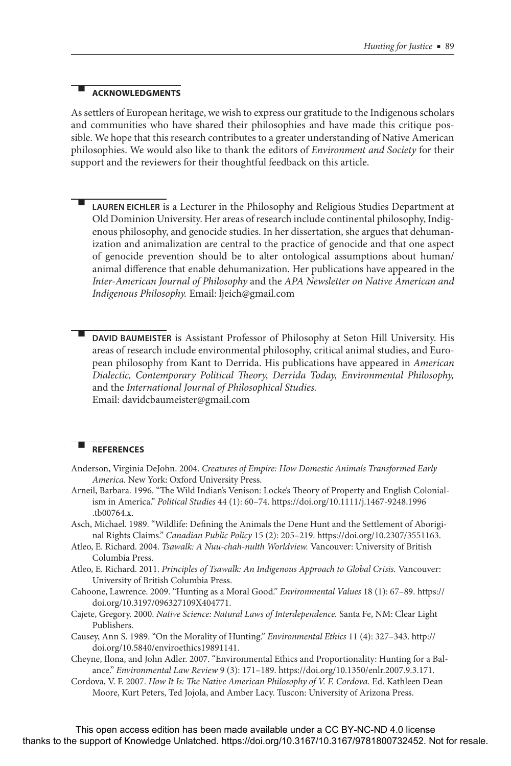## n **ACKNOWLEDGMENTS**

As settlers of European heritage, we wish to express our gratitude to the Indigenous scholars and communities who have shared their philosophies and have made this critique possible. We hope that this research contributes to a greater understanding of Native American philosophies. We would also like to thank the editors of *Environment and Society* for their support and the reviewers for their thoughtful feedback on this article.

LAUREN EICHLER is a Lecturer in the Philosophy and Religious Studies Department at Old Dominion University. Her areas of research include continental philosophy, Indigenous philosophy, and genocide studies. In her dissertation, she argues that dehumanization and animalization are central to the practice of genocide and that one aspect of genocide prevention should be to alter ontological assumptions about human/ animal difference that enable dehumanization. Her publications have appeared in the *Inter-American Journal of Philosophy* and the *APA Newsletter on Native American and Indigenous Philosophy.* Email: ljeich@gmail.com

n **DAVID BAUMEISTER** is Assistant Professor of Philosophy at Seton Hill University. His areas of research include environmental philosophy, critical animal studies, and European philosophy from Kant to Derrida. His publications have appeared in *American Dialectic, Contemporary Political Theory, Derrida Today, Environmental Philosophy,*  and the *International Journal of Philosophical Studies.* Email: davidcbaumeister@gmail.com

#### n **REFERENCES**

Anderson, Virginia DeJohn. 2004. *Creatures of Empire: How Domestic Animals Transformed Early America.* New York: Oxford University Press.

Arneil, Barbara. 1996. "The Wild Indian's Venison: Locke's Theory of Property and English Colonialism in America." *Political Studies* 44 (1): 60–74. https://doi.org/10.1111/j.1467-9248.1996 .tb00764.x.

- Asch, Michael. 1989. "Wildlife: Defining the Animals the Dene Hunt and the Settlement of Aboriginal Rights Claims." *Canadian Public Policy* 15 (2): 205–219. https://doi.org/10.2307/3551163.
- Atleo, E. Richard. 2004. *Tsawalk: A Nuu-chah-nulth Worldview.* Vancouver: University of British Columbia Press.
- Atleo, E. Richard. 2011. *Principles of Tsawalk: An Indigenous Approach to Global Crisis.* Vancouver: University of British Columbia Press.

Cahoone, Lawrence. 2009. "Hunting as a Moral Good." *Environmental Values* 18 (1): 67–89. https:// doi.org/10.3197/096327109X404771.

Cajete, Gregory. 2000. *Native Science: Natural Laws of Interdependence.* Santa Fe, NM: Clear Light Publishers.

- Causey, Ann S. 1989. "On the Morality of Hunting." *Environmental Ethics* 11 (4): 327–343. http:// doi.org/10.5840/enviroethics19891141.
- Cheyne, Ilona, and John Adler. 2007. "Environmental Ethics and Proportionality: Hunting for a Balance." *Environmental Law Review* 9 (3): 171–189. https://doi.org/10.1350/enlr.2007.9.3.171.
- Cordova, V. F. 2007. *How It Is: The Native American Philosophy of V. F. Cordova.* Ed. Kathleen Dean Moore, Kurt Peters, Ted Jojola, and Amber Lacy. Tuscon: University of Arizona Press.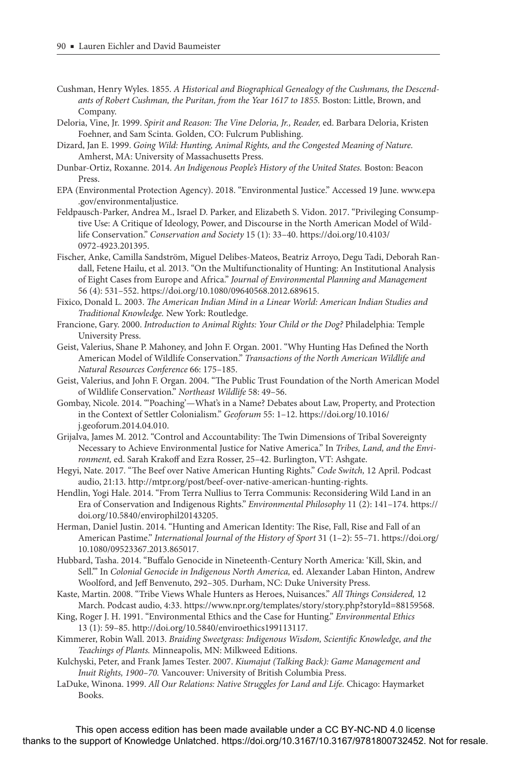- Cushman, Henry Wyles. 1855. *A Historical and Biographical Genealogy of the Cushmans, the Descendants of Robert Cushman, the Puritan, from the Year 1617 to 1855.* Boston: Little, Brown, and Company.
- Deloria, Vine, Jr. 1999. *Spirit and Reason: The Vine Deloria, Jr., Reader,* ed. Barbara Deloria, Kristen Foehner, and Sam Scinta. Golden, CO: Fulcrum Publishing.
- Dizard, Jan E. 1999. *Going Wild: Hunting, Animal Rights, and the Congested Meaning of Nature.* Amherst, MA: University of Massachusetts Press.
- Dunbar-Ortiz, Roxanne. 2014. *An Indigenous People's History of the United States.* Boston: Beacon Press.
- EPA (Environmental Protection Agency). 2018. "Environmental Justice." Accessed 19 June. www.epa .gov/environmentaljustice.
- Feldpausch-Parker, Andrea M., Israel D. Parker, and Elizabeth S. Vidon. 2017. "Privileging Consumptive Use: A Critique of Ideology, Power, and Discourse in the North American Model of Wildlife Conservation." *Conservation and Society* 15 (1): 33–40. https://doi.org/10.4103/ 0972-4923.201395.
- Fischer, Anke, Camilla Sandström, Miguel Delibes-Mateos, Beatriz Arroyo, Degu Tadi, Deborah Randall, Fetene Hailu, et al. 2013. "On the Multifunctionality of Hunting: An Institutional Analysis of Eight Cases from Europe and Africa." *Journal of Environmental Planning and Management* 56 (4): 531–552. https://doi.org/10.1080/09640568.2012.689615.
- Fixico, Donald L. 2003. *The American Indian Mind in a Linear World: American Indian Studies and Traditional Knowledge.* New York: Routledge.
- Francione, Gary. 2000. *Introduction to Animal Rights: Your Child or the Dog?* Philadelphia: Temple University Press.
- Geist, Valerius, Shane P. Mahoney, and John F. Organ. 2001. "Why Hunting Has Defined the North American Model of Wildlife Conservation." *Transactions of the North American Wildlife and Natural Resources Conference* 66: 175–185.
- Geist, Valerius, and John F. Organ. 2004. "The Public Trust Foundation of the North American Model of Wildlife Conservation." *Northeast Wildlife* 58: 49–56.
- Gombay, Nicole. 2014. "'Poaching'—What's in a Name? Debates about Law, Property, and Protection in the Context of Settler Colonialism." *Geoforum* 55: 1–12. https://doi.org/10.1016/ j.geoforum.2014.04.010.
- Grijalva, James M. 2012. "Control and Accountability: The Twin Dimensions of Tribal Sovereignty Necessary to Achieve Environmental Justice for Native America." In *Tribes, Land, and the Environment,* ed. Sarah Krakoff and Ezra Rosser, 25–42. Burlington, VT: Ashgate.
- Hegyi, Nate. 2017. "The Beef over Native American Hunting Rights." *Code Switch,* 12 April. Podcast audio, 21:13. http://mtpr.org/post/beef-over-native-american-hunting-rights.
- Hendlin, Yogi Hale. 2014. "From Terra Nullius to Terra Communis: Reconsidering Wild Land in an Era of Conservation and Indigenous Rights." *Environmental Philosophy* 11 (2): 141–174. https:// doi.org/10.5840/envirophil20143205.
- Herman, Daniel Justin. 2014. "Hunting and American Identity: The Rise, Fall, Rise and Fall of an American Pastime." *International Journal of the History of Sport* 31 (1–2): 55–71. https://doi.org/ 10.1080/09523367.2013.865017.
- Hubbard, Tasha. 2014. "Buffalo Genocide in Nineteenth-Century North America: 'Kill, Skin, and Sell.'" In *Colonial Genocide in Indigenous North America,* ed. Alexander Laban Hinton, Andrew Woolford, and Jeff Benvenuto, 292–305. Durham, NC: Duke University Press.
- Kaste, Martin. 2008. "Tribe Views Whale Hunters as Heroes, Nuisances." *All Things Considered,* 12 March. Podcast audio, 4:33. https://www.npr.org/templates/story/story.php?storyId=88159568.
- King, Roger J. H. 1991. "Environmental Ethics and the Case for Hunting." *Environmental Ethics* 13 (1): 59–85. http://doi.org/10.5840/enviroethics199113117.
- Kimmerer, Robin Wall. 2013. *Braiding Sweetgrass: Indigenous Wisdom, Scientific Knowledge, and the Teachings of Plants.* Minneapolis, MN: Milkweed Editions.

Kulchyski, Peter, and Frank James Tester. 2007. *Kiumajut (Talking Back): Game Management and Inuit Rights, 1900–70.* Vancouver: University of British Columbia Press.

LaDuke, Winona. 1999. *All Our Relations: Native Struggles for Land and Life.* Chicago: Haymarket Books.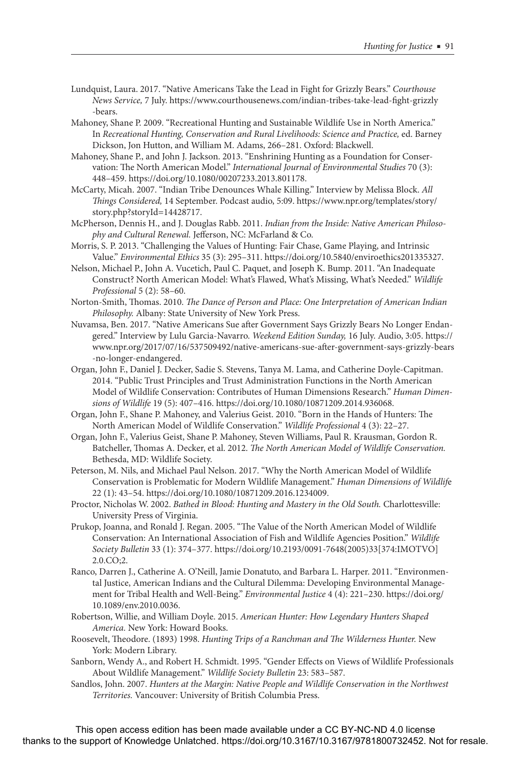- Lundquist, Laura. 2017. "Native Americans Take the Lead in Fight for Grizzly Bears." *Courthouse News Service,* 7 July. https://www.courthousenews.com/indian-tribes-take-lead-fight-grizzly -bears.
- Mahoney, Shane P. 2009. "Recreational Hunting and Sustainable Wildlife Use in North America." In *Recreational Hunting, Conservation and Rural Livelihoods: Science and Practice,* ed. Barney Dickson, Jon Hutton, and William M. Adams, 266–281. Oxford: Blackwell.
- Mahoney, Shane P., and John J. Jackson. 2013. "Enshrining Hunting as a Foundation for Conservation: The North American Model." *International Journal of Environmental Studies* 70 (3): 448–459. https://doi.org/10.1080/00207233.2013.801178.
- McCarty, Micah. 2007. "Indian Tribe Denounces Whale Killing." Interview by Melissa Block. *All Things Considered,* 14 September. Podcast audio, 5:09. https://www.npr.org/templates/story/ story.php?storyId=14428717.
- McPherson, Dennis H., and J. Douglas Rabb. 2011. *Indian from the Inside: Native American Philosophy and Cultural Renewal.* Jefferson, NC: McFarland & Co.
- Morris, S. P. 2013. "Challenging the Values of Hunting: Fair Chase, Game Playing, and Intrinsic Value." *Environmental Ethics* 35 (3): 295–311. https://doi.org/10.5840/enviroethics201335327.
- Nelson, Michael P., John A. Vucetich, Paul C. Paquet, and Joseph K. Bump. 2011. "An Inadequate Construct? North American Model: What's Flawed, What's Missing, What's Needed." *Wildlife Professional* 5 (2): 58–60.
- Norton-Smith, Thomas. 2010. *The Dance of Person and Place: One Interpretation of American Indian Philosophy.* Albany: State University of New York Press.
- Nuvamsa, Ben. 2017. "Native Americans Sue after Government Says Grizzly Bears No Longer Endangered." Interview by Lulu Garcia-Navarro. *Weekend Edition Sunday,* 16 July. Audio, 3:05. https:// www.npr.org/2017/07/16/537509492/native-americans-sue-after-government-says-grizzly-bears -no-longer-endangered.
- Organ, John F., Daniel J. Decker, Sadie S. Stevens, Tanya M. Lama, and Catherine Doyle-Capitman. 2014. "Public Trust Principles and Trust Administration Functions in the North American Model of Wildlife Conservation: Contributes of Human Dimensions Research." *Human Dimensions of Wildlife* 19 (5): 407–416. https://doi.org/10.1080/10871209.2014.936068.
- Organ, John F., Shane P. Mahoney, and Valerius Geist. 2010. "Born in the Hands of Hunters: The North American Model of Wildlife Conservation." *Wildlife Professional* 4 (3): 22–27.
- Organ, John F., Valerius Geist, Shane P. Mahoney, Steven Williams, Paul R. Krausman, Gordon R. Batcheller, Thomas A. Decker, et al. 2012. *The North American Model of Wildlife Conservation.* Bethesda, MD: Wildlife Society.
- Peterson, M. Nils, and Michael Paul Nelson. 2017. "Why the North American Model of Wildlife Conservation is Problematic for Modern Wildlife Management." *Human Dimensions of Wildlif*e 22 (1): 43–54. https://doi.org/10.1080/10871209.2016.1234009.
- Proctor, Nicholas W. 2002. *Bathed in Blood: Hunting and Mastery in the Old South.* Charlottesville: University Press of Virginia.
- Prukop, Joanna, and Ronald J. Regan. 2005. "The Value of the North American Model of Wildlife Conservation: An International Association of Fish and Wildlife Agencies Position." *Wildlife Society Bulletin* 33 (1): 374–377. https://doi.org/10.2193/0091-7648(2005)33[374:IMOTVO] 2.0.CO;2.
- Ranco, Darren J., Catherine A. O'Neill, Jamie Donatuto, and Barbara L. Harper. 2011. "Environmental Justice, American Indians and the Cultural Dilemma: Developing Environmental Management for Tribal Health and Well-Being." *Environmental Justice* 4 (4): 221–230. https://doi.org/ 10.1089/env.2010.0036.
- Robertson, Willie, and William Doyle. 2015. *American Hunter: How Legendary Hunters Shaped America.* New York: Howard Books.
- Roosevelt, Theodore. (1893) 1998. *Hunting Trips of a Ranchman and The Wilderness Hunter.* New York: Modern Library.
- Sanborn, Wendy A., and Robert H. Schmidt. 1995. "Gender Effects on Views of Wildlife Professionals About Wildlife Management." *Wildlife Society Bulletin* 23: 583–587.
- Sandlos, John. 2007. *Hunters at the Margin: Native People and Wildlife Conservation in the Northwest Territories.* Vancouver: University of British Columbia Press.